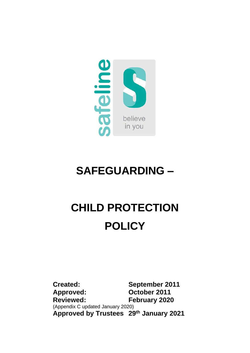

## **SAFEGUARDING –**

# **CHILD PROTECTION POLICY**

**Created: September 2011 Approved: October 2011 Reviewed: February 2020** (Appendix C updated January 2020) **Approved by Trustees 29th January 2021**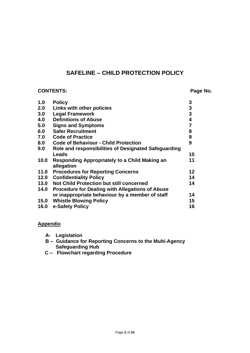### **SAFELINE – CHILD PROTECTION POLICY**

#### **CONTENTS: Page No.**

| 1.0  | <b>Policy</b>                                          | 3              |
|------|--------------------------------------------------------|----------------|
| 2.0  | Links with other policies                              | $\mathbf 3$    |
| 3.0  | <b>Legal Framework</b>                                 | 3              |
| 4.0  | <b>Definitions of Abuse</b>                            | 4              |
| 5.0  | <b>Signs and Symptoms</b>                              | $\overline{7}$ |
| 6.0  | <b>Safer Recruitment</b>                               | 8              |
| 7.0  | <b>Code of Practice</b>                                | 9              |
| 8.0  | <b>Code of Behaviour - Child Protection</b>            | 9              |
| 9.0  | Role and responsibilities of Designated Safeguarding   |                |
|      | Leads                                                  | 10             |
| 10.0 | Responding Appropriately to a Child Making an          | 11             |
|      | allegation                                             |                |
| 11.0 | <b>Procedures for Reporting Concerns</b>               | 12             |
| 12.0 | <b>Confidentiality Policy</b>                          | 14             |
| 13.0 | <b>Not Child Protection but still concerned</b>        | 14             |
| 14.0 | <b>Procedure for Dealing with Allegations of Abuse</b> |                |
|      | or inappropriate behaviour by a member of staff        | 14             |
| 15.0 | <b>Whistle Blowing Policy</b>                          | 15             |
| 16.0 | e-Safety Policy                                        | 16             |

#### **Appendix**

- **A- Legislation**
- **B – Guidance for Reporting Concerns to the Multi-Agency Safeguarding Hub**
- **C Flowchart regarding Procedure**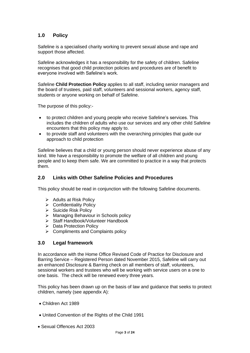#### **1.0 Policy**

Safeline is a specialised charity working to prevent sexual abuse and rape and support those affected.

Safeline acknowledges it has a responsibility for the safety of children. Safeline recognises that good child protection policies and procedures are of benefit to everyone involved with Safeline's work.

Safeline **Child Protection Policy** applies to all staff, including senior managers and the board of trustees, paid staff, volunteers and sessional workers, agency staff, students or anyone working on behalf of Safeline.

The purpose of this policy:-

- to protect children and young people who receive Safeline's services. This includes the children of adults who use our services and any other child Safeline encounters that this policy may apply to.
- to provide staff and volunteers with the overarching principles that guide our approach to child protection

Safeline believes that a child or young person should never experience abuse of any kind. We have a responsibility to promote the welfare of all children and young people and to keep them safe. We are committed to practice in a way that protects them.

#### **2.0 Links with Other Safeline Policies and Procedures**

This policy should be read in conjunction with the following Safeline documents.

- ➢ Adults at Risk Policy
- ➢ Confidentiality Policy
- ➢ Suicide Risk Policy
- ➢ Managing Behaviour in Schools policy
- ➢ Staff Handbook/Volunteer Handbook
- ➢ Data Protection Policy
- ➢ Compliments and Complaints policy

#### **3.0 Legal framework**

In accordance with the Home Office Revised Code of Practice for Disclosure and Barring Service – Registered Person dated November 2015, Safeline will carry out an enhanced Disclosure & Barring check on all members of staff, volunteers, sessional workers and trustees who will be working with service users on a one to one basis. The check will be renewed every three years.

This policy has been drawn up on the basis of law and guidance that seeks to protect children, namely (see appendix A):

- Children Act 1989
- United Convention of the Rights of the Child 1991
- Sexual Offences Act 2003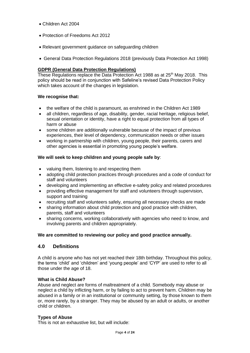- Children Act 2004
- Protection of Freedoms Act 2012
- Relevant government guidance on safeguarding children
- General Data Protection Regulations 2018 (previously Data Protection Act 1998)

#### **GDPR (General Data Protection Regulations)**

These Regulations replace the Data Protection Act 1988 as at 25<sup>th</sup> May 2018. This policy should be read in conjunction with Safeline's revised Data Protection Policy which takes account of the changes in legislation.

#### **We recognise that:**

- the welfare of the child is paramount, as enshrined in the Children Act 1989
- all children, regardless of age, disability, gender, racial heritage, religious belief, sexual orientation or identity, have a right to equal protection from all types of harm or abuse
- some children are additionally vulnerable because of the impact of previous experiences, their level of dependency, communication needs or other issues
- working in partnership with children, young people, their parents, carers and other agencies is essential in promoting young people's welfare.

#### **We will seek to keep children and young people safe by**:

- valuing them, listening to and respecting them
- adopting child protection practices through procedures and a code of conduct for staff and volunteers
- developing and implementing an effective e-safety policy and related procedures
- providing effective management for staff and volunteers through supervision, support and training
- recruiting staff and volunteers safely, ensuring all necessary checks are made
- sharing information about child protection and good practice with children, parents, staff and volunteers
- sharing concerns, working collaboratively with agencies who need to know, and involving parents and children appropriately.

#### **We are committed to reviewing our policy and good practice annually.**

#### **4.0 Definitions**

A child is anyone who has not yet reached their 18th birthday. Throughout this policy, the terms 'child' and 'children' and 'young people' and 'CYP' are used to refer to all those under the age of 18.

#### **What is Child Abuse?**

Abuse and neglect are forms of maltreatment of a child. Somebody may abuse or neglect a child by inflicting harm, or by failing to act to prevent harm. Children may be abused in a family or in an institutional or community setting, by those known to them or, more rarely, by a stranger. They may be abused by an adult or adults, or another child or children.

#### **Types of Abuse**

This is not an exhaustive list, but will include: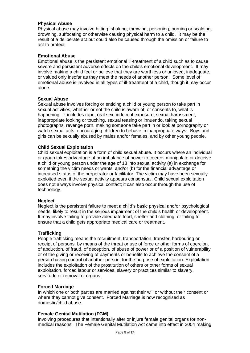#### **Physical Abuse**

Physical abuse may involve hitting, shaking, throwing, poisoning, burning or scalding, drowning, suffocating or otherwise causing physical harm to a child. It may be the result of a deliberate act but could also be caused through the omission or failure to act to protect.

#### **Emotional Abuse**

Emotional abuse is the persistent emotional ill-treatment of a child such as to cause severe and persistent adverse effects on the child's emotional development. It may involve making a child feel or believe that they are worthless or unloved, inadequate, or valued only insofar as they meet the needs of another person. Some level of emotional abuse is involved in all types of ill-treatment of a child, though it may occur alone.

#### **Sexual Abuse**

Sexual abuse involves forcing or enticing a child or young person to take part in sexual activities, whether or not the child is aware of, or consents to, what is happening. It includes rape, oral sex, indecent exposure, sexual harassment, inappropriate looking or touching, sexual teasing or innuendo, taking sexual photographs, revenge porn, making someone take part in or look at pornography or watch sexual acts, encouraging children to behave in inappropriate ways. Boys and girls can be sexually abused by males and/or females, and by other young people.

#### **Child Sexual Exploitation**

Child sexual exploitation is a form of child sexual abuse. It occurs where an individual or group takes advantage of an imbalance of power to coerce, manipulate or deceive a child or young person under the age of 18 into sexual activity (a) in exchange for something the victim needs or wants, and/or (b) for the financial advantage or increased status of the perpetrator or facilitator. The victim may have been sexually exploited even if the sexual activity appears consensual. Child sexual exploitation does not always involve physical contact; it can also occur through the use of technology.

#### **Neglect**

Neglect is the persistent failure to meet a child's basic physical and/or psychological needs, likely to result in the serious impairment of the child's health or development. It may involve failing to provide adequate food, shelter and clothing, or failing to ensure that a child gets appropriate medical care or treatment.

#### **Trafficking**

People trafficking means the recruitment, transportation, transfer, harbouring or receipt of persons, by means of the threat or use of force or other forms of coercion, of abduction, of fraud, of deception, of abuse of power or of a position of vulnerability or of the giving or receiving of payments or benefits to achieve the consent of a person having control of another person, for the purpose of exploitation. Exploitation includes the exploitation of the prostitution of others or other forms of sexual exploitation, forced labour or services, slavery or practices similar to slavery, servitude or removal of organs.

#### **Forced Marriage**

In which one or both parties are married against their will or without their consent or where they cannot give consent. Forced Marriage is now recognised as domestic/child abuse.

#### **Female Genital Mutilation (FGM)**

Involving procedures that intentionally alter or injure female genital organs for nonmedical reasons. The Female Genital Mutilation Act came into effect in 2004 making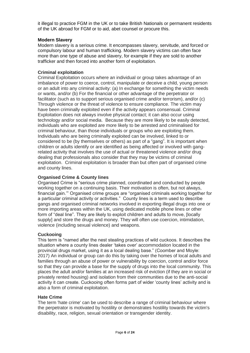it illegal to practice FGM in the UK or to take British Nationals or permanent residents of the UK abroad for FGM or to aid, abet counsel or procure this.

#### **Modern Slavery**

Modern slavery is a serious crime. It encompasses slavery, servitude, and forced or compulsory labour and human trafficking. Modern slavery victims can often face more than one type of abuse and slavery, for example if they are sold to another trafficker and then forced into another form of exploitation.

#### **Criminal exploitation**

Criminal Exploitation occurs where an individual or group takes advantage of an imbalance of power to coerce, control, manipulate or deceive a child, young person or an adult into any criminal activity: (a) In exchange for something the victim needs or wants, and/or (b) For the financial or other advantage of the perpetrator or facilitator (such as to support serious organised crime and/or terrorism), and/or (c) Through violence or the threat of violence to ensure compliance. The victim may have been criminally exploited even if the activity appears consensual. Criminal Exploitation does not always involve physical contact; it can also occur using technology and/or social media. Because they are more likely to be easily detected, individuals who are exploited are more likely to be arrested and criminalised for criminal behaviour, than those individuals or groups who are exploiting them. Individuals who are being criminally exploited can be involved, linked to or considered to be (by themselves or others) as part of a "gang". It is important when children or adults identify or are identified as being affected or involved with gangrelated activity that involves the use of actual or threatened violence and/or drug dealing that professionals also consider that they may be victims of criminal exploitation. Criminal exploitation is broader than but often part of organised crime and county lines.

#### **Organised Crime & County lines**

Organised Crime is "serious crime planned, coordinated and conducted by people working together on a continuing basis. Their motivation is often, but not always, financial gain.'" Organised crime groups are "organised criminals working together for a particular criminal activity or activities." County lines is a term used to describe gangs and organised criminal networks involved in exporting illegal drugs into one or more importing areas within the UK, using dedicated mobile phone lines or other form of "deal line". They are likely to exploit children and adults to move, [locally supply] and store the drugs and money. They will often use coercion, intimidation, violence (including sexual violence) and weapons.

#### **Cuckooing**

This term is "named after the nest stealing practices of wild cuckoos. It describes the situation where a county lines dealer 'takes over' accommodation located in the provincial drugs market, using it as a local dealing base." (Coomber and Moyle: 2017) An individual or group can do this by taking over the homes of local adults and families through an abuse of power or vulnerability by coercion, control and/or force so that they can provide a base for the supply of drugs into the local community. This places the adult and/or families at an increased risk of eviction (if they are in social or privately rented housing) and isolation from their communities due to the anti-social activity it can create. Cuckooing often forms part of wider 'county lines' activity and is also a form of criminal exploitation.

#### **Hate Crime**

The term 'hate crime' can be used to describe a range of criminal behaviour where the perpetrator is motivated by hostility or demonstrates hostility towards the victim's disability, race, religion, sexual orientation or transgender identity.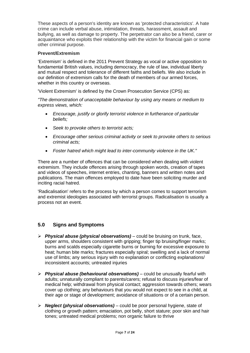These aspects of a person's identity are known as 'protected characteristics'. A hate crime can include verbal abuse, intimidation, threats, harassment, assault and bullying, as well as damage to property. The perpetrator can also be a friend, carer or acquaintance who exploits their relationship with the victim for financial gain or some other criminal purpose.

#### **Prevent/Extremism**

'Extremism' is defined in the 2011 Prevent Strategy as vocal or active opposition to fundamental British values, including democracy, the rule of law, individual liberty and mutual respect and tolerance of different faiths and beliefs. We also include in our definition of extremism calls for the death of members of our armed forces, whether in this country or overseas.

'Violent Extremism' is defined by the Crown Prosecution Service (CPS) as:

*"The demonstration of unacceptable behaviour by using any means or medium to express views, which:*

- *Encourage, justify or glorify terrorist violence in furtherance of particular beliefs;*
- *Seek to provoke others to terrorist acts;*
- *Encourage other serious criminal activity or seek to provoke others to serious criminal acts;*
- *Foster hatred which might lead to inter-community violence in the UK."*

There are a number of offences that can be considered when dealing with violent extremism. They include offences arising through spoken words, creation of tapes and videos of speeches, internet entries, chanting, banners and written notes and publications. The main offences employed to date have been soliciting murder and inciting racial hatred.

'Radicalisation' refers to the process by which a person comes to support terrorism and extremist ideologies associated with terrorist groups. Radicalisation is usually a process not an event.

#### **5.0 Signs and Symptoms**

- ➢ *Physical abuse (physical observations)* could be bruising on trunk, face, upper arms, shoulders consistent with gripping; finger tip bruising/finger marks; burns and scalds especially cigarette burns or burning for excessive exposure to heat; human bite marks; fractures especially spiral; swelling and a lack of normal use of limbs; any serious injury with no explanation or conflicting explanations/ inconsistent accounts; untreated injuries
- ➢ *Physical abuse (behavioural observations)* could be unusually fearful with adults; unnaturally compliant to parents/carers; refusal to discuss injuries/fear of medical help; withdrawal from physical contact; aggression towards others; wears cover up clothing; any behaviours that you would not expect to see in a child, at their age or stage of development; avoidance of situations or of a certain person.
- ➢ *Neglect (physical observations)* could be poor personal hygiene, state of clothing or growth pattern; emaciation, pot belly, short stature; poor skin and hair tones; untreated medical problems; non organic failure to thrive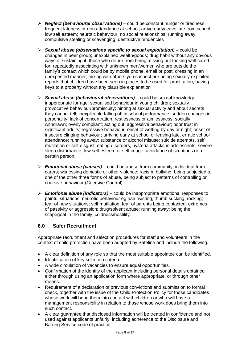- ➢ *Neglect (behavioural observations)* could be constant hunger or tiredness; frequent lateness or non attendance at school; arrive early/leave late from school; low self esteem; neurotic behaviour; no social relationships; running away; compulsive stealing or scavenging; destructive tendencies
- ➢ *Sexual abuse (observations specific to sexual exploitation)*  could be changes in peer group; unexplained wealth/goods; drug habit without any obvious ways of sustaining it; those who return from being missing but looking well cared for; repeatedly associating with unknown men/women who are outside the family's contact which could be by mobile phone, email or post; dressing in an unexpected manner; mixing with others you suspect are being sexually exploited; reports that children have been seen in places to be used for prostitution; having keys to a property without any plausible explanation
- ➢ *Sexual abuse (behavioural observations)* could be sexual knowledge inappropriate for age; sexualised behaviour in young children; sexually provocative behaviour/promiscuity; hinting at sexual activity and about secrets they cannot tell; inexplicable falling off in school performance; sudden changes in personality; lack of concentration, restlessness or aimlessness; socially withdrawn; overly compliant; acting out, aggressive behaviour; poor trust in significant adults; regressive behaviour, onset of wetting by day or night; onset of insecure clinging behaviour; arriving early at school or leaving late, erratic school attendance; running away; substance or alcohol misuse; suicide attempts, self mutilation or self disgust; eating disorders, hysteria attacks in adolescents; severe sleep disturbance; low self esteem or self image ;avoidance of situations or a certain person.
- ➢ *Emotional abuse (causes)* could be abuse from community; individual from carers; witnessing domestic or other violence; racism; bullying; being subjected to one of the other three forms of abuse, being subject to patterns of controlling or coersive behaviour (Coersive Control)
- ➢ *Emotional abuse (indicators)* could be inappropriate emotional responses to painful situations; neurotic behaviour eg hair twisting, thumb sucking, rocking; fear of new situations; self mutilation; fear of parents being contacted; extremes of passivity or aggression; drug/solvent abuse; running away; being the scapegoat in the family; coldness/hostility.

#### **6.0 Safer Recruitment**

Appropriate recruitment and selection procedures for staff and volunteers in the context of child protection have been adopted by Safeline and include the following.

- A clear definition of any role so that the most suitable appointee can be identified.
- Identification of key selection criteria.
- A wide circulation of vacancies to ensure equal opportunities.
- Confirmation of the identity of the applicant including personal details obtained either through using an application form where appropriate, or through other means.
- Requirement of a declaration of previous convictions and submission to formal check, together with the issue of the Child Protection Policy for those candidates whose work will bring them into contact with children or who will have a management responsibility in relation to those whose work does bring them into such contact.
- A clear guarantee that disclosed information will be treated in confidence and not used against applicants unfairly, including adherence to the Disclosure and Barring Service code of practice.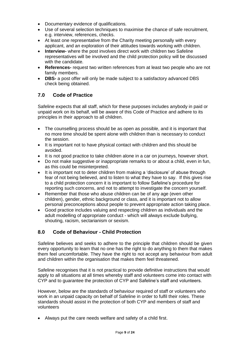- Documentary evidence of qualifications.
- Use of several selection techniques to maximise the chance of safe recruitment, e.g. interview, references, checks.
- At least one representative from the Charity meeting personally with every applicant, and an exploration of their attitudes towards working with children.
- **Interview-** where the post involves direct work with children two Safeline representatives will be involved and the child protection policy will be discussed with the candidate.
- **References-** request two written references from at least two people who are not family members.
- **DBS-** a post offer will only be made subject to a satisfactory advanced DBS check being obtained.

#### **7.0 Code of Practice**

Safeline expects that all staff, which for these purposes includes anybody in paid or unpaid work on its behalf, will be aware of this Code of Practice and adhere to its principles in their approach to all children.

- The counselling process should be as open as possible, and it is important that no more time should be spent alone with children than is necessary to conduct the session.
- It is important not to have physical contact with children and this should be avoided.
- It is not good practice to take children alone in a car on journeys, however short.
- Do not make suggestive or inappropriate remarks to or about a child, even in fun, as this could be misinterpreted.
- It is important not to deter children from making a 'disclosure' of abuse through fear of not being believed, and to listen to what they have to say. If this gives rise to a child protection concern it is important to follow Safeline's procedure for reporting such concerns, and not to attempt to investigate the concern yourself.
- Remember that those who abuse children can be of any age (even other children), gender, ethnic background or class, and it is important not to allow personal preconceptions about people to prevent appropriate action taking place.
- Good practice includes valuing and respecting children as individuals and the adult modelling of appropriate conduct - which will always exclude bullying, shouting, racism, sectarianism or sexism.

#### **8.0 Code of Behaviour - Child Protection**

Safeline believes and seeks to adhere to the principle that children should be given every opportunity to learn that no one has the right to do anything to them that makes them feel uncomfortable. They have the right to not accept any behaviour from adult and children within the organisation that makes them feel threatened.

Safeline recognises that it is not practical to provide definitive instructions that would apply to all situations at all times whereby staff and volunteers come into contact with CYP and to guarantee the protection of CYP and Safeline's staff and volunteers.

However, below are the standards of behaviour required of staff or volunteers who work in an unpaid capacity on behalf of Safeline in order to fulfil their roles. These standards should assist in the protection of both CYP and members of staff and volunteers

• Always put the care needs welfare and safety of a child first.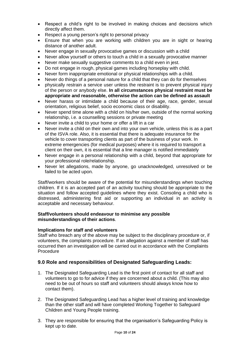- Respect a child's right to be involved in making choices and decisions which directly affect them.
- Respect a young person's right to personal privacy
- Ensure that when you are working with children you are in sight or hearing distance of another adult.
- Never engage in sexually provocative games or discussion with a child
- Never allow yourself or others to touch a child in a sexually provocative manner
- Never make sexually suggestive comments to a child even in jest.
- Do not engage in rough, physical games including horseplay with child.
- Never form inappropriate emotional or physical relationships with a child.
- Never do things of a personal nature for a child that they can do for themselves
- physically restrain a service user unless the restraint is to prevent physical injury of the person or anybody else. **In all circumstances physical restraint must be appropriate and reasonable, otherwise the action can be defined as assault**
- Never harass or intimidate a child because of their age, race, gender, sexual orientation, religious belief, socio economic class or disability.
- Never spend time alone with a child on his/her own, outside of the normal working relationship, i.e. a counselling sessions or private meeting
- Never invite a child to your home or offer a lift in a car
- Never invite a child on their own and into your own vehicle, unless this is as a part of the ISVA role. Also, it is essential that there is adequate insurance for the vehicle to cover transporting clients as part of the business of your work. In extreme emergencies (for medical purposes) where it is required to transport a client on their own, it is essential that a line manager is notified immediately
- Never engage in a personal relationship with a child, beyond that appropriate for your professional role/relationship.
- Never let allegations, made by anyone, go unacknowledged, unresolved or be failed to be acted upon.

Staff/workers should be aware of the potential for misunderstandings when touching children. If it is an accepted part of an activity touching should be appropriate to the situation and follow accepted guidelines where they exist. Consoling a child who is distressed, administering first aid or supporting an individual in an activity is acceptable and necessary behaviour.

#### **Staff/volunteers should endeavour to minimise any possible misunderstandings of their actions**.

#### **Implications for staff and volunteers**

Staff who breach any of the above may be subject to the disciplinary procedure or, if volunteers, the complaints procedure. If an allegation against a member of staff has occurred then an investigation will be carried out in accordance with the Complaints Procedure

#### **9.0 Role and responsibilities of Designated Safeguarding Leads:**

- 1. The Designated Safeguarding Lead is the first point of contact for all staff and volunteers to go to for advice if they are concerned about a child. (This may also need to be out of hours so staff and volunteers should always know how to contact them).
- 2. The Designated Safeguarding Lead has a higher level of training and knowledge than the other staff and will have completed Working Together to Safeguard Children and Young People training.
- 3. They are responsible for ensuring that the organisation's Safeguarding Policy is kept up to date.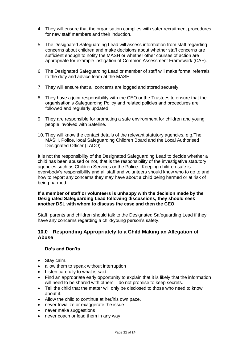- 4. They will ensure that the organisation complies with safer recruitment procedures for new staff members and their induction.
- 5. The Designated Safeguarding Lead will assess information from staff regarding concerns about children and make decisions about whether staff concerns are sufficient enough to notify the MASH or whether other courses of action are appropriate for example instigation of Common Assessment Framework (CAF).
- 6. The Designated Safeguarding Lead or member of staff will make formal referrals to the duty and advice team at the MASH.
- 7. They will ensure that all concerns are logged and stored securely.
- 8. They have a joint responsibility with the CEO or the Trustees to ensure that the organisation's Safeguarding Policy and related policies and procedures are followed and regularly updated.
- 9. They are responsible for promoting a safe environment for children and young people involved with Safeline.
- 10. They will know the contact details of the relevant statutory agencies. e.g.The MASH, Police, local Safeguarding Children Board and the Local Authorised Designated Officer (LADO)

It is not the responsibility of the Designated Safeguarding Lead to decide whether a child has been abused or not, that is the responsibility of the investigative statutory agencies such as Children Services or the Police. Keeping children safe is everybody's responsibility and all staff and volunteers should know who to go to and how to report any concerns they may have about a child being harmed or at risk of being harmed.

#### **If a member of staff or volunteers is unhappy with the decision made by the Designated Safeguarding Lead following discussions, they should seek another DSL with whom to discuss the case and then the CEO.**

Staff, parents and children should talk to the Designated Safeguarding Lead if they have any concerns regarding a child/young person's safety.

#### **10.0 Responding Appropriately to a Child Making an Allegation of Abuse**

#### **Do's and Don'ts**

- Stay calm.
- allow them to speak without interruption
- Listen carefully to what is said.
- Find an appropriate early opportunity to explain that it is likely that the information will need to be shared with others – do not promise to keep secrets.
- Tell the child that the matter will only be disclosed to those who need to know about it.
- Allow the child to continue at her/his own pace.
- never trivialize or exaggerate the issue
- never make suggestions
- never coach or lead them in any way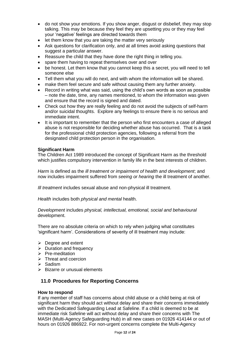- do not show your emotions. If you show anger, disgust or disbelief, they may stop talking. This may be because they feel they are upsetting you or they may feel your 'negative' feelings are directed towards them
- let them know that you are taking the matter very seriously
- Ask questions for clarification only, and at all times avoid asking questions that suggest a particular answer.
- Reassure the child that they have done the right thing in telling you.
- spare them having to repeat themselves over and over
- be honest. Let them know that you cannot keep this a secret, you will need to tell someone else
- Tell them what you will do next, and with whom the information will be shared.
- make them feel secure and safe without causing them any further anxiety.
- Record in writing what was said, using the child's own words as soon as possible – note the date, time, any names mentioned, to whom the information was given and ensure that the record is signed and dated.
- Check out how they are really feeling and do not avoid the subjects of self-harm and/or suicidal thoughts. Explore any feelings to ensure there is no serious and immediate intent.
- It is important to remember that the person who first encounters a case of alleged abuse is not responsible for deciding whether abuse has occurred. That is a task for the professional child protection agencies, following a referral from the designated child protection person in the organisation.

#### **Significant Harm**

The Children Act 1989 introduced the concept of Significant Harm as the threshold which justifies compulsory intervention in family life in the best interests of children.

*Harm* is defined as the *ill treatment or impairment of health and development*; and now includes impairment suffered from *seeing or hearing* the ill treatment of another.

*Ill treatment* includes sexual abuse and non-physical ill treatment.

*Health* includes both *physical and mental* health.

*Development* includes *physical, intellectual, emotional, social and behavioural* development.

There are no absolute criteria on which to rely when judging what constitutes 'significant harm'. Considerations of severity of ill treatment may include:

- ➢ Degree and extent
- $\triangleright$  Duration and frequency
- ➢ Pre-meditation
- ➢ Threat and coercion
- ➢ Sadism
- ➢ Bizarre or unusual elements

#### **11.0 Procedures for Reporting Concerns**

#### **How to respond**

If any member of staff has concerns about child abuse or a child being at risk of significant harm they should act without delay and share their concerns immediately with the Dedicated Safeguarding Lead at Safeline. If a child is deemed to be at immediate risk Safeline will act without delay and share their concerns with The MASH (Multi-Agency Safeguarding Hub) in all new cases on 01926 414144 or out of hours on 01926 886922. For non-urgent concerns complete the Multi-Agency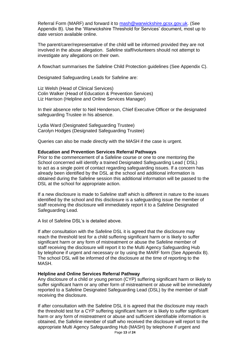Referral Form (MARF) and forward it to [mash@warwickshire.gcsx.gov.uk.](mailto:mash@warwickshire.gcsx.gov.uk) (See Appendix B). Use the 'Warwickshire Threshold for Services' document, most up to date version available online.

The parent/carer/representative of the child will be informed provided they are not involved in the abuse allegation. Safeline staff/volunteers should not attempt to investigate any allegations on their own.

A flowchart summarises the Safeline Child Protection guidelines (See Appendix C).

Designated Safeguarding Leads for Safeline are:

Liz Welsh (Head of Clinical Services) Colin Walker (Head of Education & Prevention Services) Liz Harrison (Helpline and Online Services Manager)

In their absence refer to Neil Henderson, Chief Executive Officer or the designated safeguarding Trustee in his absence.

Lydia Ward (Designated Safeguarding Trustee) Carolyn Hodges (Designated Safeguarding Trustee)

Queries can also be made directly with the MASH if the case is urgent.

#### **Education and Prevention Services Referral Pathways**

Prior to the commencement of a Safeline course or one to one mentoring the School concerned will identify a trained Designated Safeguarding Lead ( DSL) to act as a single point of contact regarding safeguarding issues. If a concern has already been identified by the DSL at the school and additional information is obtained during the Safeline session this additional information will be passed to the DSL at the school for appropriate action.

If a new disclosure is made to Safeline staff which is different in nature to the issues identified by the school and this disclosure is a safeguarding issue the member of staff receiving the disclosure will immediately report it to a Safeline Designated Safeguarding Lead.

A list of Safeline DSL's is detailed above.

If after consultation with the Safeline DSL it is agreed that the disclosure may reach the threshold test for a child suffering significant harm or is likely to suffer significant harm or any form of mistreatment or abuse the Safeline member of staff receiving the disclosure will report it to the Multi Agency Safeguarding Hub by telephone if urgent and necessary or by using the MARF form (See Appendix B). The school DSL will be informed of the disclosure at the time of reporting to the MASH.

#### **Helpline and Online Services Referral Pathway**

Any disclosure of a child or young person (CYP) suffering significant harm or likely to suffer significant harm or any other form of mistreatment or abuse will be immediately reported to a Safeline Designated Safeguarding Lead (DSL) by the member of staff receiving the disclosure.

If after consultation with the Safeline DSL it is agreed that the disclosure may reach the threshold test for a CYP suffering significant harm or is likely to suffer significant harm or any form of mistreatment or abuse and sufficient identifiable information is obtained, the Safeline member of staff who received the disclosure will report to the appropriate Multi Agency Safeguarding Hub (MASH) by telephone if urgent and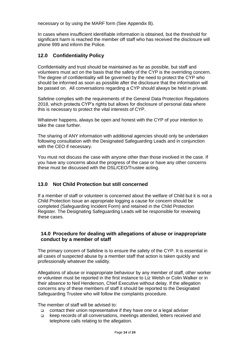necessary or by using the MARF form (See Appendix B).

In cases where insufficient identifiable information is obtained, but the threshold for significant harm is reached the member off staff who has received the disclosure will phone 999 and inform the Police.

#### **12.0 Confidentiality Policy**

Confidentiality and trust should be maintained as far as possible, but staff and volunteers must act on the basis that the safety of the CYP is the overriding concern. The degree of confidentiality will be governed by the need to protect the CYP who should be informed as soon as possible after the disclosure that the information will be passed on. All conversations regarding a CYP should always be held in private.

Safeline complies with the requirements of the General Data Protection Regulations 2018, which protects CYP's rights but allows for disclosure of personal data where this is necessary to protect the vital interests of CYP.

Whatever happens, always be open and honest with the CYP of your intention to take the case further.

The sharing of ANY information with additional agencies should only be undertaken following consultation with the Designated Safeguarding Leads and in conjunction with the CEO if necessary.

You must not discuss the case with anyone other than those involved in the case. If you have any concerns about the progress of the case or have any other concerns these must be discussed with the DSL/CEO/Trustee acting.

#### **13.0 Not Child Protection but still concerned**

If a member of staff or volunteer is concerned about the welfare of Child but it is not a Child Protection Issue an appropriate logging a cause for concern should be completed (Safeguarding Incident Form) and retained in the Child Protection Register. The Designating Safeguarding Leads will be responsible for reviewing these cases.

#### **14.0 Procedure for dealing with allegations of abuse or inappropriate conduct by a member of staff**

The primary concern of Safeline is to ensure the safety of the CYP. It is essential in all cases of suspected abuse by a member staff that action is taken quickly and professionally whatever the validity.

Allegations of abuse or inappropriate behaviour by any member of staff, other worker or volunteer must be reported in the first instance to Liz Welsh or Colin Walker or in their absence to Neil Henderson, Chief Executive without delay. If the allegation concerns any of these members of staff it should be reported to the Designated Safeguarding Trustee who will follow the complaints procedure.

The member of staff will be advised to:

- ❑ contact their union representative if they have one or a legal adviser
- ❑ keep records of all conversations, meetings attended, letters received and telephone calls relating to the allegation.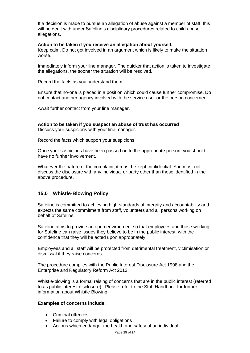If a decision is made to pursue an allegation of abuse against a member of staff, this will be dealt with under Safeline's disciplinary procedures related to child abuse allegations.

#### **Action to be taken if you receive an allegation about yourself.**

Keep calm. Do not get involved in an argument which is likely to make the situation worse.

Immediately inform your line manager. The quicker that action is taken to investigate the allegations, the sooner the situation will be resolved.

Record the facts as you understand them.

Ensure that no-one is placed in a position which could cause further compromise. Do not contact another agency involved with the service user or the person concerned.

Await further contact from your line manager.

**Action to be taken if you suspect an abuse of trust has occurred** Discuss your suspicions with your line manager.

Record the facts which support your suspicions

Once your suspicions have been passed on to the appropriate person, you should have no further involvement.

Whatever the nature of the complaint, it must be kept confidential. You must not discuss the disclosure with any individual or party other than those identified in the above procedure**.**

#### **15.0 Whistle-Blowing Policy**

Safeline is committed to achieving high standards of integrity and accountability and expects the same commitment from staff, volunteers and all persons working on behalf of Safeline.

Safeline aims to provide an open environment so that employees and those working for Safeline can raise issues they believe to be in the public interest, with the confidence that they will be acted upon appropriately.

Employees and all staff will be protected from detrimental treatment, victimisation or dismissal if they raise concerns.

The procedure complies with the Public Interest Disclosure Act 1998 and the Enterprise and Regulatory Reform Act 2013.

Whistle-blowing is a formal raising of concerns that are in the public interest (referred to as public interest disclosure). Please refer to the Staff Handbook for further information about Whistle Blowing.

#### **Examples of concerns include:**

- Criminal offences
- Failure to comply with legal obligations
- Actions which endanger the health and safety of an individual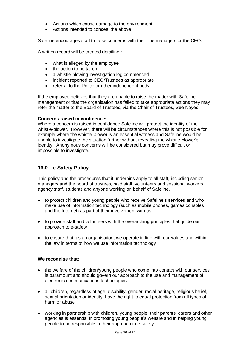- Actions which cause damage to the environment
- Actions intended to conceal the above

Safeline encourages staff to raise concerns with their line managers or the CEO.

A written record will be created detailing :

- what is alleged by the employee
- the action to be taken
- a whistle-blowing investigation log commenced
- incident reported to CEO/Trustees as appropriate
- referral to the Police or other independent body

If the employee believes that they are unable to raise the matter with Safeline management or that the organisation has failed to take appropriate actions they may refer the matter to the Board of Trustees, via the Chair of Trustees, Sue Noyes.

#### **Concerns raised in confidence:**

Where a concern is raised in confidence Safeline will protect the identity of the whistle-blower. However, there will be circumstances where this is not possible for example where the whistle-blower is an essential witness and Safeline would be unable to investigate the situation further without revealing the whistle-blower's identity. Anonymous concerns will be considered but may prove difficult or impossible to investigate.

#### **16.0 e-Safety Policy**

This policy and the procedures that it underpins apply to all staff, including senior managers and the board of trustees, paid staff, volunteers and sessional workers, agency staff, students and anyone working on behalf of Safeline.

- to protect children and young people who receive Safeline's services and who make use of information technology (such as mobile phones, games consoles and the Internet) as part of their involvement with us
- to provide staff and volunteers with the overarching principles that guide our approach to e-safety
- to ensure that, as an organisation, we operate in line with our values and within the law in terms of how we use information technology

#### **We recognise that:**

- the welfare of the children/young people who come into contact with our services is paramount and should govern our approach to the use and management of electronic communications technologies
- all children, regardless of age, disability, gender, racial heritage, religious belief, sexual orientation or identity, have the right to equal protection from all types of harm or abuse
- working in partnership with children, young people, their parents, carers and other agencies is essential in promoting young people's welfare and in helping young people to be responsible in their approach to e-safety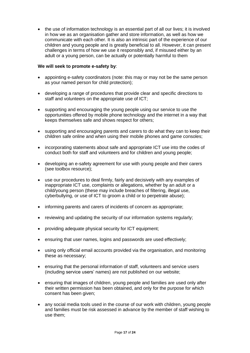• the use of information technology is an essential part of all our lives; it is involved in how we as an organisation gather and store information, as well as how we communicate with each other. It is also an intrinsic part of the experience of our children and young people and is greatly beneficial to all. However, it can present challenges in terms of how we use it responsibly and, if misused either by an adult or a young person, can be actually or potentially harmful to them

#### **We will seek to promote e-safety by**:

- appointing e-safety coordinators (note: this may or may not be the same person as your named person for child protection);
- developing a range of procedures that provide clear and specific directions to staff and volunteers on the appropriate use of ICT;
- supporting and encouraging the young people using our service to use the opportunities offered by mobile phone technology and the internet in a way that keeps themselves safe and shows respect for others;
- supporting and encouraging parents and carers to do what they can to keep their children safe online and when using their mobile phones and game consoles;
- incorporating statements about safe and appropriate ICT use into the codes of conduct both for staff and volunteers and for children and young people;
- developing an e-safety agreement for use with young people and their carers (see toolbox resource);
- use our procedures to deal firmly, fairly and decisively with any examples of inappropriate ICT use, complaints or allegations, whether by an adult or a child/young person (these may include breaches of filtering, illegal use, cyberbullying, or use of ICT to groom a child or to perpetrate abuse);
- informing parents and carers of incidents of concern as appropriate;
- reviewing and updating the security of our information systems regularly;
- providing adequate physical security for ICT equipment;
- ensuring that user names, logins and passwords are used effectively;
- using only official email accounts provided via the organisation, and monitoring these as necessary;
- ensuring that the personal information of staff, volunteers and service users (including service users' names) are not published on our website;
- ensuring that images of children, young people and families are used only after their written permission has been obtained, and only for the purpose for which consent has been given;
- any social media tools used in the course of our work with children, young people and families must be risk assessed in advance by the member of staff wishing to use them;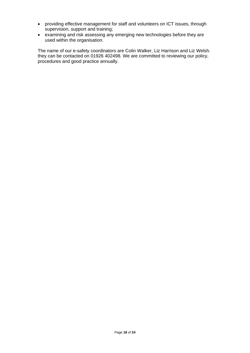- providing effective management for staff and volunteers on ICT issues, through supervision, support and training;
- examining and risk assessing any emerging new technologies before they are used within the organisation.

The name of our e-safety coordinators are Colin Walker, Liz Harrison and Liz Welsh. they can be contacted on 01926 402498. We are committed to reviewing our policy, procedures and good practice annually.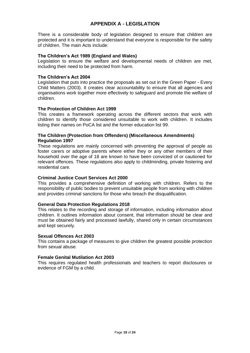#### **APPENDIX A - LEGISLATION**

There is a considerable body of legislation designed to ensure that children are protected and it is important to understand that everyone is responsible for the safety of children. The main Acts include:

#### **The Children's Act 1989 (England and Wales)**

Legislation to ensure the welfare and developmental needs of children are met, including their need to be protected from harm.

#### **The Children's Act 2004**

Legislation that puts into practice the proposals as set out in the Green Paper - Every Child Matters (2003). It creates clear accountability to ensure that all agencies and organisations work together more effectively to safeguard and promote the welfare of children.

#### **The Protection of Children Act 1999**

This creates a framework operating across the different sectors that work with children to identify those considered unsuitable to work with children. It includes listing their names on PoCA list and the former education list 99.

#### **The Children (Protection from Offenders) (Miscellaneous Amendments) Regulation 1997**

These regulations are mainly concerned with preventing the approval of people as foster carers or adoptive parents where either they or any other members of their household over the age of 18 are known to have been convicted of or cautioned for relevant offences. These regulations also apply to childminding, private fostering and residential care.

#### **Criminal Justice Court Services Act 2000**

This provides a comprehensive definition of working with children. Refers to the responsibility of public bodies to prevent unsuitable people from working with children and provides criminal sanctions for those who breach the disqualification.

#### **General Data Protection Regulations 2018**

This relates to the recording and storage of information, including information about children. It outlines information about consent, that information should be clear and must be obtained fairly and processed lawfully, shared only in certain circumstances and kept securely.

#### **Sexual Offences Act 2003**

This contains a package of measures to give children the greatest possible protection from sexual abuse.

#### **Female Genital Mutilation Act 2003**

This requires regulated health professionals and teachers to report disclosures or evidence of FGM by a child.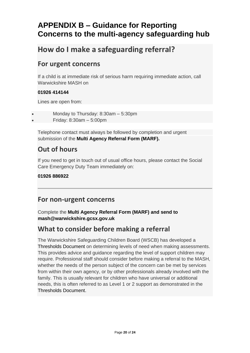### **APPENDIX B – Guidance for Reporting Concerns to the multi-agency safeguarding hub**

## **How do I make a safeguarding referral?**

### **For urgent concerns**

If a child is at immediate risk of serious harm requiring immediate action, call Warwickshire MASH on

#### **[01926 414144](tel:01926%20414144)**

Lines are open from:

• Monday to Thursday: 8:30am – 5:30pm

• Friday: 8:30am – 5:00pm

Telephone contact must always be followed by completion and urgent submission of the **Multi [Agency Referral Form \(MARF\).](http://apps.warwickshire.gov.uk/api/documents/WCCC-1068-582)**

### **Out of hours**

If you need to get in touch out of usual office hours, please contact the Social Care Emergency Duty Team immediately on:

### **[01926 886922](tel:01926-886922)**

### **For non-urgent concerns**

Complete the **[Multi Agency Referral Form \(MARF\)](http://apps.warwickshire.gov.uk/api/documents/WCCC-1068-582) and send to [mash@warwickshire.gcsx.gov.uk](mailto:mash@warwickshire.gcsx.gov.uk)**

### **What to consider before making a referral**

The Warwickshire Safeguarding Children Board (WSCB) has developed a [Thresholds Document](http://apps.warwickshire.gov.uk/api/documents/WCCC-850-285) on determining levels of need when making assessments. This provides advice and guidance regarding the level of support children may require. Professional staff should consider before making a referral to the MASH, whether the needs of the person subject of the concern can be met by services from within their own agency, or by other professionals already involved with the family. This is usually relevant for children who have universal or additional needs, this is often referred to as Level 1 or 2 support as demonstrated in the [Thresholds Document.](http://apps.warwickshire.gov.uk/api/documents/WCCC-850-285)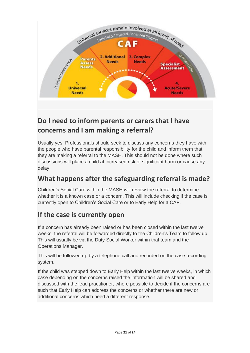

### **Do I need to inform parents or carers that I have concerns and I am making a referral?**

Usually yes. Professionals should seek to discuss any concerns they have with the people who have parental responsibility for the child and inform them that they are making a referral to the MASH. This should not be done where such discussions will place a child at increased risk of significant harm or cause any delay.

### **What happens after the safeguarding referral is made?**

Children's Social Care within the MASH will review the referral to determine whether it is a known case or a concern. This will include checking if the case is currently open to Children's Social Care or to Early Help for a CAF.

### **If the case is currently open**

If a concern has already been raised or has been closed within the last twelve weeks, the referral will be forwarded directly to the Children's Team to follow up. This will usually be via the Duty Social Worker within that team and the Operations Manager.

This will be followed up by a telephone call and recorded on the case recording system.

If the child was stepped down to Early Help within the last twelve weeks, in which case depending on the concerns raised the information will be shared and discussed with the lead practitioner, where possible to decide if the concerns are such that Early Help can address the concerns or whether there are new or additional concerns which need a different response.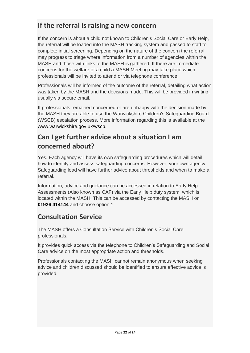### **If the referral is raising a new concern**

If the concern is about a child not known to Children's Social Care or Early Help, the referral will be loaded into the MASH tracking system and passed to staff to complete initial screening. Depending on the nature of the concern the referral may progress to triage where information from a number of agencies within the MASH and those with links to the MASH is gathered. If there are immediate concerns for the welfare of a child a MASH Meeting may take place which professionals will be invited to attend or via telephone conference.

Professionals will be informed of the outcome of the referral, detailing what action was taken by the MASH and the decisions made. This will be provided in writing, usually via secure email.

If professionals remained concerned or are unhappy with the decision made by the MASH they are able to use the Warwickshire Children's Safeguarding Board (WSCB) escalation process. More information regarding this is available at the www.warwickshire.gov.uk/wscb.

### **Can I get further advice about a situation I am concerned about?**

Yes. Each agency will have its own safeguarding procedures which will detail how to identify and assess safeguarding concerns. However, your own agency Safeguarding lead will have further advice about thresholds and when to make a referral.

Information, advice and guidance can be accessed in relation to Early Help Assessments (Also known as CAF) via the Early Help duty system, which is located within the MASH. This can be accessed by contacting the MASH on **[01926 414144](tel:01926%20414144)** and choose option 1.

### **Consultation Service**

The MASH offers a Consultation Service with Children's Social Care professionals.

It provides quick access via the telephone to Children's Safeguarding and Social Care advice on the most appropriate action and thresholds.

Professionals contacting the MASH cannot remain anonymous when seeking advice and children discussed should be identified to ensure effective advice is provided.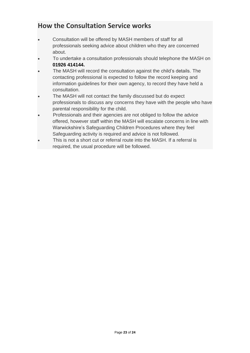### **How the Consultation Service works**

- Consultation will be offered by MASH members of staff for all professionals seeking advice about children who they are concerned about.
- To undertake a consultation professionals should telephone the MASH on **[01926 414144.](tel:01926%20414144)**
- The MASH will record the consultation against the child's details. The contacting professional is expected to follow the record keeping and information guidelines for their own agency, to record they have held a consultation.
- The MASH will not contact the family discussed but do expect professionals to discuss any concerns they have with the people who have parental responsibility for the child.
- Professionals and their agencies are not obliged to follow the advice offered, however staff within the MASH will escalate concerns in line with Warwickshire's Safeguarding Children Procedures where they feel Safeguarding activity is required and advice is not followed.
- This is not a short cut or referral route into the MASH. If a referral is required, the usual procedure will be followed.